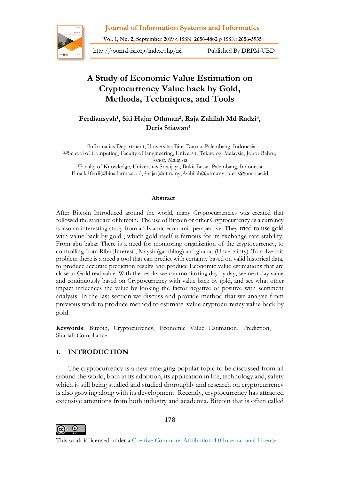**Journal of Information Systems and Informatics** 



Vol. 1, No. 2, September 2019 e-ISSN: 2656-4882 p-ISSN: 2656-5935

http://journal-isi.org/index.php/isi

Published By DRPM-UBD

# **A Study of Economic Value Estimation on Cryptocurrency Value back by Gold, Methods, Techniques, and Tools**

**Ferdiansyah<sup>1</sup> , Siti Hajar Othman<sup>2</sup> , Raja Zahilah Md Radzi<sup>3</sup> , Deris Stiawan<sup>4</sup>**

2,3School of Computing, Faculty of Engineering, Universiti Teknologi Malaysia, Johor Bahru, Johor, Malaysia <sup>4</sup>Faculty of Knowledge, Universitas Sriwijaya, Bukit Besar, Palembang, Indonesia 1Informatics Department, Universitas Bina Darma, Palembang, Indonesia

Email: 1ferdi@binadarma.ac.id, 2hajar@utm.my, <sup>3</sup>[zahilah@utm.my,](mailto:3zahilah@utm.my)  <sup>4</sup>[deris@unsri.ac.id](mailto:4deris@unsri.ac.id)

#### **Abstract**

After Bitcoin Introduced around the world, many Cryptocurrencies was created that followed the standard of bitcoin. The use of Bitcoin or other Cryptocurrency as a currency is also an interesting study from an Islamic economic perspective. They tried to use gold with value back by gold , which gold itself is famous for its exchange rate stability. From abu bakar There is a need for monitoring organization of the cryptocurrency, to controlling from Riba (Interest), Maysir (gambling) and ghahar (Uncertainty). To solve this problem there is a need a tool that can predict with certainty based on valid historical data, to produce accurate prediction results and produce Economic value estimations that are close to Gold real value. With the results we can monitoring day by day, see next day value and continuously based on Cryptocurrency with value back by gold, and see what other impact influences the value by looking the factor negative or positive with sentiment analysis. In the last section we discuss and provide method that we analyse from previous work to produce method to estimate value cryptocurrency value back by gold.

**Keywords**: Bitcoin, Cryptocurrency, Economic Value Estimation, Prediction, Shariah Compliance.

### **1. INTRODUCTION**

The cryptocurrency is a new emerging popular topic to be discussed from all around the world, both in its adoption, its application in life, technology and, safety which is still being studied and studied thoroughly and research on cryptocurrency is also growing along with its development. Recently, cryptocurrency has attracted extensive attentions from both industry and academia. Bitcoin that is often called



178

This work is licensed under a [Creative Commons Attribution 4.0 International License.](http://creativecommons.org/licenses/by/4.0/)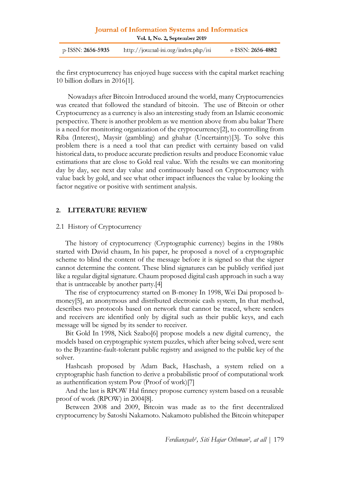| Journal of Information Systems and Informatics |  |
|------------------------------------------------|--|
| Vol. 1, No. 2, September 2019                  |  |

| p-ISSN: <b>2656-5935</b> | http://journal-isi.org/index.php/isi | e-ISSN: <b>2656-4882</b> |
|--------------------------|--------------------------------------|--------------------------|
|--------------------------|--------------------------------------|--------------------------|

the first cryptocurrency has enjoyed huge success with the capital market reaching 10 billion dollars in 2016[1].

Nowadays after Bitcoin Introduced around the world, many Cryptocurrencies was created that followed the standard of bitcoin. The use of Bitcoin or other Cryptocurrency as a currency is also an interesting study from an Islamic economic perspective. There is another problem as we mention above from abu bakar There is a need for monitoring organization of the cryptocurrency[2], to controlling from Riba (Interest), Maysir (gambling) and ghahar (Uncertainty)[3]. To solve this problem there is a need a tool that can predict with certainty based on valid historical data, to produce accurate prediction results and produce Economic value estimations that are close to Gold real value. With the results we can monitoring day by day, see next day value and continuously based on Cryptocurrency with value back by gold, and see what other impact influences the value by looking the factor negative or positive with sentiment analysis.

### **2. LITERATURE REVIEW**

#### 2.1 History of Cryptocurrency

The history of cryptocurrency (Cryptographic currency) begins in the 1980s started with David chaum, In his paper, he proposed a novel of a cryptographic scheme to blind the content of the message before it is signed so that the signer cannot determine the content. These blind signatures can be publicly verified just like a regular digital signature. Chaum proposed digital cash approach in such a way that is untraceable by another party.[4]

The rise of cryptocurrency started on B-money In 1998, Wei Dai proposed bmoney[5], an anonymous and distributed electronic cash system, In that method, describes two protocols based on network that cannot be traced, where senders and receivers are identified only by digital such as their public keys, and each message will be signed by its sender to receiver.

Bit Gold In 1998, Nick Szabo[6] propose models a new digital currency, the models based on cryptographic system puzzles, which after being solved, were sent to the Byzantine-fault-tolerant public registry and assigned to the public key of the solver.

Hashcash proposed by Adam Back, Haschash, a system relied on a cryptographic hash function to derive a probabilistic proof of computational work as authentification system Pow (Proof of work)[7]

And the last is RPOW Hal finney propose currency system based on a reusable proof of work (RPOW) in 2004[8].

Between 2008 and 2009, Bitcoin was made as to the first decentralized cryptocurrency by Satoshi Nakamoto. Nakamoto published the Bitcoin whitepaper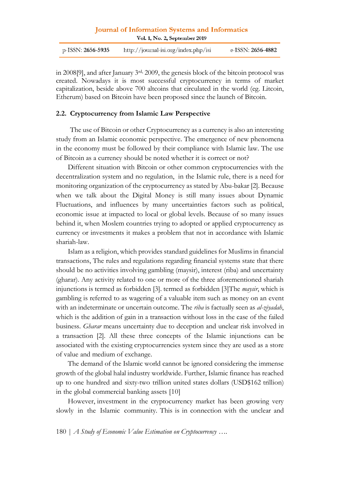p-ISSN: 2656-5935 http://journal-isi.org/index.php/isi e-ISSN: 2656-4882

in 2008[9], and after January 3rd, 2009, the genesis block of the bitcoin protocol was created. Nowadays it is most successful cryptocurrency in terms of market capitalization, beside above 700 altcoins that circulated in the world (eg. Litcoin, Etherum) based on Bitcoin have been proposed since the launch of Bitcoin.

#### **2.2. Cryptocurrency from Islamic Law Perspective**

The use of Bitcoin or other Cryptocurrency as a currency is also an interesting study from an Islamic economic perspective. The emergence of new phenomena in the economy must be followed by their compliance with Islamic law. The use of Bitcoin as a currency should be noted whether it is correct or not?

Different situation with Bitcoin or other common cryptocurrencies with the decentralization system and no regulation, in the Islamic rule, there is a need for monitoring organization of the cryptocurrency as stated by Abu-bakar [2]. Because when we talk about the Digital Money is still many issues about Dynamic Fluctuations, and influences by many uncertainties factors such as political, economic issue at impacted to local or global levels. Because of so many issues behind it, when Moslem countries trying to adopted or applied cryptocurrency as currency or investments it makes a problem that not in accordance with Islamic shariah-law.

Islam as a religion, which provides standard guidelines for Muslims in financial transactions, The rules and regulations regarding financial systems state that there should be no activities involving gambling (maysir), interest (riba) and uncertainty (gharar). Any activity related to one or more of the three aforementioned shariah injunctions is termed as forbidden [3]. termed as forbidden [3]The *maysir*, which is gambling is referred to as wagering of a valuable item such as money on an event with an indeterminate or uncertain outcome. The *riba* is factually seen as *al-ziyadah*, which is the addition of gain in a transaction without loss in the case of the failed business. *Gharar* means uncertainty due to deception and unclear risk involved in a transaction [2]. All these three concepts of the Islamic injunctions can be associated with the existing cryptocurrencies system since they are used as a store of value and medium of exchange.

The demand of the Islamic world cannot be ignored considering the immense growth of the global halal industry worldwide. Further, Islamic finance has reached up to one hundred and sixty-two trillion united states dollars (USD\$162 trillion) in the global commercial banking assets [10]

However, investment in the cryptocurrency market has been growing very slowly in the Islamic community. This is in connection with the unclear and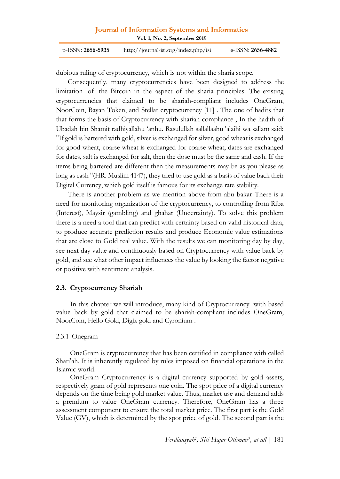| p-ISSN: <b>2656-5935</b> | http://journal-isi.org/index.php/isi | e-ISSN: <b>2656-4882</b> |
|--------------------------|--------------------------------------|--------------------------|
|--------------------------|--------------------------------------|--------------------------|

dubious ruling of cryptocurrency, which is not within the sharia scope.

Consequently, many cryptocurrencies have been designed to address the limitation of the Bitcoin in the aspect of the sharia principles. The existing cryptocurrencies that claimed to be shariah-compliant includes OneGram, NoorCoin, Bayan Token, and Stellar cryptocurrency [11] . The one of hadits that that forms the basis of Cryptocurrency with shariah compliance , In the hadith of Ubadah bin Shamit radhiyallahu 'anhu. Rasulullah sallallaahu 'alaihi wa sallam said: "If gold is bartered with gold, silver is exchanged for silver, good wheat is exchanged for good wheat, coarse wheat is exchanged for coarse wheat, dates are exchanged for dates, salt is exchanged for salt, then the dose must be the same and cash. If the items being bartered are different then the measurements may be as you please as long as cash "(HR. Muslim 4147), they tried to use gold as a basis of value back their Digital Currency, which gold itself is famous for its exchange rate stability.

There is another problem as we mention above from abu bakar There is a need for monitoring organization of the cryptocurrency, to controlling from Riba (Interest), Maysir (gambling) and ghahar (Uncertainty). To solve this problem there is a need a tool that can predict with certainty based on valid historical data, to produce accurate prediction results and produce Economic value estimations that are close to Gold real value. With the results we can monitoring day by day, see next day value and continuously based on Cryptocurrency with value back by gold, and see what other impact influences the value by looking the factor negative or positive with sentiment analysis.

#### **2.3. Cryptocurrency Shariah**

In this chapter we will introduce, many kind of Cryptocurrency with based value back by gold that claimed to be shariah-compliant includes OneGram, NoorCoin, Hello Gold, Digix gold and Cyronium .

#### 2.3.1 Onegram

OneGram is cryptocurrency that has been certified in compliance with called Shari'ah. It is inherently regulated by rules imposed on financial operations in the Islamic world.

OneGram Cryptocurrency is a digital currency supported by gold assets, respectively gram of gold represents one coin. The spot price of a digital currency depends on the time being gold market value. Thus, market use and demand adds a premium to value OneGram currency. Therefore, OneGram has a three assessment component to ensure the total market price. The first part is the Gold Value (GV), which is determined by the spot price of gold. The second part is the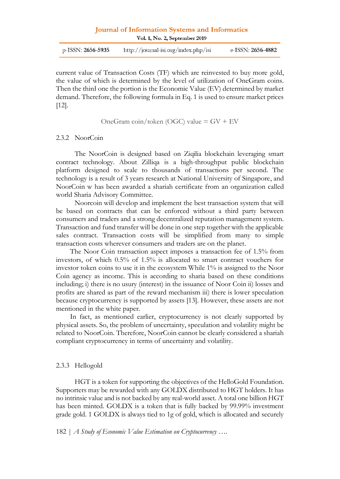| p-ISSN: <b>2656-5935</b> | http://journal-isi.org/index.php/isi | e-ISSN: <b>2656-4882</b> |
|--------------------------|--------------------------------------|--------------------------|
|                          |                                      |                          |

current value of Transaction Costs (TF) which are reinvested to buy more gold, the value of which is determined by the level of utilization of OneGram coins. Then the third one the portion is the Economic Value (EV) determined by market demand. Therefore, the following formula in Eq. 1 is used to ensure market prices [12].

OneGram coin/token (OGC) value = GV + EV

#### 2.3.2 NoorCoin

The NoorCoin is designed based on Ziqilia blockchain leveraging smart contract technology. About Zilliqa is a high-throughput public blockchain platform designed to scale to thousands of transactions per second. The technology is a result of 3 years research at National University of Singapore, and NoorCoin w has been awarded a shariah certificate from an organization called world Sharia Advisory Committee.

Noorcoin will develop and implement the best transaction system that will be based on contracts that can be enforced without a third party between consumers and traders and a strong decentralized reputation management system. Transaction and fund transfer will be done in one step together with the applicable sales contract. Transaction costs will be simplified from many to simple transaction costs wherever consumers and traders are on the planet.

The Noor Coin transaction aspect imposes a transaction fee of 1.5% from investors, of which 0.5% of 1.5% is allocated to smart contract vouchers for investor token coins to use it in the ecosystem While 1% is assigned to the Noor Coin agency as income. This is according to sharia based on these conditions including; i) there is no usury (interest) in the issuance of Noor Coin ii) losses and profits are shared as part of the reward mechanism iii) there is lower speculation because cryptocurrency is supported by assets [13]. However, these assets are not mentioned in the white paper.

In fact, as mentioned earlier, cryptocurrency is not clearly supported by physical assets. So, the problem of uncertainty, speculation and volatility might be related to NoorCoin. Therefore, NoorCoin cannot be clearly considered a shariah compliant cryptocurrency in terms of uncertainty and volatility.

#### 2.3.3 Hellogold

HGT is a token for supporting the objectives of the HelloGold Foundation. Supporters may be rewarded with any GOLDX distributed to HGT holders. It has no intrinsic value and is not backed by any real-world asset. A total one billion HGT has been minted. GOLDX is a token that is fully backed by 99.99% investment grade gold. 1 GOLDX is always tied to 1g of gold, which is allocated and securely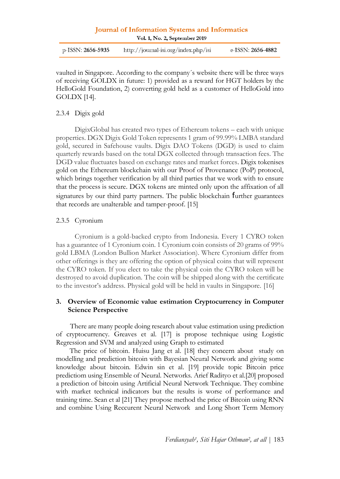p-ISSN: 2656-5935 http://journal-isi.org/index.php/isi e-ISSN: 2656-4882

vaulted in Singapore. According to the company´s website there will be three ways of receiving GOLDX in future: 1) provided as a reward for HGT holders by the HelloGold Foundation, 2) converting gold held as a customer of HelloGold into GOLDX [14].

### 2.3.4 Digix gold

DigixGlobal has created two types of Ethereum tokens – each with unique properties. DGX Digix Gold Token represents 1 gram of 99.99% LMBA standard gold, secured in Safehouse vaults. Digix DAO Tokens (DGD) is used to claim quarterly rewards based on the total DGX collected through transaction fees. The DGD value fluctuates based on exchange rates and market forces. Digix tokenises gold on the Ethereum blockchain with our Proof of Provenance (PoP) protocol, which brings together verification by all third parties that we work with to ensure that the process is secure. DGX tokens are minted only upon the affixation of all signatures by our third party partners. The public blockchain further guarantees that records are unalterable and tamper-proof. [15]

### 2.3.5 Cyronium

Cyronium is a gold-backed crypto from Indonesia. Every 1 CYRO token has a guarantee of 1 Cyronium coin. 1 Cyronium coin consists of 20 grams of 99% gold LBMA (London Bullion Market Association). Where Cyronium differ from other offerings is they are offering the option of physical coins that will represent the CYRO token. If you elect to take the physical coin the CYRO token will be destroyed to avoid duplication. The coin will be shipped along with the certificate to the investor's address. Physical gold will be held in vaults in Singapore. [16]

### **3. Overview of Economic value estimation Cryptocurrency in Computer Science Perspective**

There are many people doing research about value estimation using prediction of cryptocurrency. Greaves et al. [17] is propose technique using Logistic Regression and SVM and analyzed using Graph to estimated

The price of bitcoin. Huisu Jang et al. [18] they concern about study on modelling and prediction bitcoin with Bayesian Neural Network and giving some knowledge about bitcoin. Edwin sin et al. [19] provide topic Bitcoin price predictiom using Ensemble of Neural. Networks. Arief Radityo et al.[20] proposed a prediction of bitcoin using Artificial Neural Network Technique. They combine with market technical indicators but the results is worse of performance and training time. Sean et al [21] They propose method the price of Bitcoin using RNN and combine Using Reccurent Neural Network and Long Short Term Memory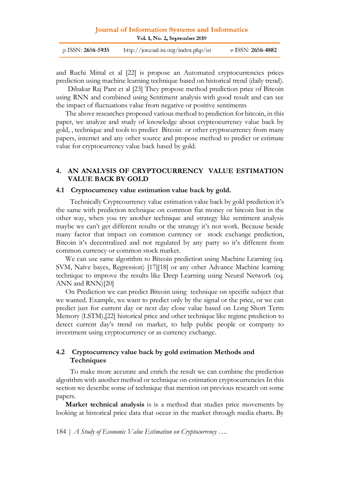| p-ISSN: <b>2656-5935</b> | http://journal-isi.org/index.php/isi | e-ISSN: 2656-4882 |
|--------------------------|--------------------------------------|-------------------|
|--------------------------|--------------------------------------|-------------------|

and Ruchi Mittal et al [22] is propose an Automated cryptocurrencies prices prediction using machine learning technique based on historical trend (daily trend).

Dibakar Raj Pant et al [23] They propose method prediction price of Bitcoin using RNN and combined using Sentiment analysis with good result and can see the impact of fluctuations value from negative or positive sentiments

The above researches proposed various method to prediction for bitcoin, in this paper, we analyze and study of knowledge about cryptcocurrency value back by gold, , technique and tools to predict Bitcoin or other cryptocurrency from many papers, internet and any other source and propose method to predict or estimate value for cryptocurrency value back based by gold.

### **4. AN ANALYSIS OF CRYPTOCURRENCY VALUE ESTIMATION VALUE BACK BY GOLD**

#### **4.1 Cryptocurrency value estimation value back by gold.**

Technically Cryptcourrency value estimation value back by gold prediction it's the same with prediction technique on common fiat money or bitcoin but in the other way, when you try another technique and strategy like sentiment analysis maybe we can't get different results or the strategy it's not work. Because beside many factor that impact on common currency or stock exchange prediction, Bitcoin it's decentralized and not regulated by any party so it's different from common currency or common stock market.

We can use same algorithm to Bitcoin prediction using Machine Learning (eq. SVM, Naïve bayes, Regression) [17][18] or any other Advance Machine learning technique to improve the results like Deep Learning using Neural Network (eq. ANN and RNN)[20]

On Prediction we can predict Bitcoin using technique on specific subject that we wanted. Example, we want to predict only by the signal or the price, or we can predict just for current day or next day close value based on Long Short Term Memory (LSTM),[22] historical price and other technique like regime prediction to detect current day's trend on market, to help public people or company to investment using cryptocurrency or as currency exchange.

### **4.2 Cryptocurrency value back by gold estimation Methods and Techniques**

To make more accurate and enrich the result we can combine the prediction algorithm with another method or technique on estimation cryptocurrencies In this section we describe some of technique that mention on previous research on some papers.

**Market technical analysis** is is a method that studies price movements by looking at historical price data that occur in the market through media charts. By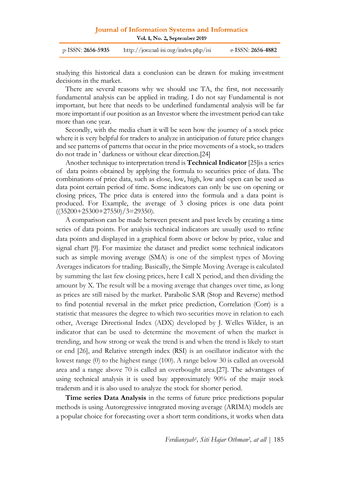| Journal of Information Systems and Informatics |  |
|------------------------------------------------|--|
| Vol. 1, No. 2, September 2019                  |  |

| p-ISSN: <b>2656-5935</b> | http://journal-isi.org/index.php/isi | e-ISSN: <b>2656-4882</b> |
|--------------------------|--------------------------------------|--------------------------|
|--------------------------|--------------------------------------|--------------------------|

studying this historical data a conclusion can be drawn for making investment decisions in the market.

There are several reasons why we should use TA, the first, not necessarily fundamental analysis can be applied in trading. I do not say Fundamental is not important, but here that needs to be underlined fundamental analysis will be far more important if our position as an Investor where the investment period can take more than one year.

Secondly, with the media chart it will be seen how the journey of a stock price where it is very helpful for traders to analyze in anticipation of future price changes and see patterns of patterns that occur in the price movements of a stock, so traders do not trade in ' darkness or without clear direction.[24]

Another technique to interpretation trend is **Technical Indicator** [25]is a series of data points obtained by applying the formula to securities price of data. The combinations of price data, such as close, low, high, low and open can be used as data point certain period of time. Some indicators can only be use on opening or closing prices, The price data is entered into the formula and a data point is produced. For Example, the average of 3 closing prices is one data point  $((35200+25300+27550)/3=29350).$ 

A comparison can be made between present and past levels by creating a time series of data points. For analysis technical indicators are usually used to refine data points and displayed in a graphical form above or below by price, value and signal chart [9]. For maximize the dataset and predict some technical indicators such as simple moving average (SMA) is one of the simplest types of Moving Averages indicators for trading. Basically, the Simple Moving Average is calculated by summing the last few closing prices, here I call X period, and then dividing the amount by X. The result will be a moving average that changes over time, as long as prices are still raised by the market. Parabolic SAR (Stop and Reverse) method to find potential reversal in the mrket price prediction, Correlation (Corr) is a statistic that measures the degree to which two securities move in relation to each other, Average Directional Index (ADX) developed by J. Welles Wilder, is an indicator that can be used to determine the movement of when the market is trending, and how strong or weak the trend is and when the trend is likely to start or end [26], and Relative strength index (RSI) is an oscillator indicator with the lowest range (0) to the highest range (100). A range below 30 is called an oversold area and a range above 70 is called an overbought area.[27]. The advantages of using technical analysis it is used buy approximately 90% of the majir stock tradersm and it is also used to analyze the stock for shorter period.

**Time series Data Analysis** in the terms of future price predictions popular methods is using Autoregressive integrated moving average (ARIMA) models are a popular choice for forecasting over a short term conditions, it works when data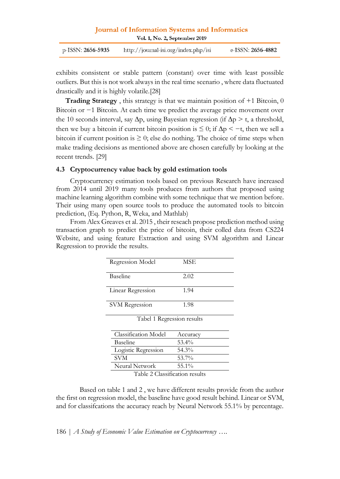| Journal of Information Systems and Informatics |                               |  |
|------------------------------------------------|-------------------------------|--|
|                                                | Vol. 1, No. 2, September 2019 |  |

exhibits consistent or stable pattern (constant) over time with least possible outliers. But this is not work always in the real time scenario , where data fluctuated drastically and it is highly volatile.[28]

**Trading Strategy** , this strategy is that we maintain position of +1 Bitcoin, 0 Bitcoin or −1 Bitcoin. At each time we predict the average price movement over the 10 seconds interval, say  $\Delta p$ , using Bayesian regression (if  $\Delta p > t$ , a threshold, then we buy a bitcoin if current bitcoin position is  $\leq 0$ ; if  $\Delta p < -t$ , then we sell a bitcoin if current position is  $\geq 0$ ; else do nothing. The choice of time steps when make trading decisions as mentioned above are chosen carefully by looking at the recent trends. [29]

### **4.3 Cryptocurrency value back by gold estimation tools**

Cryptocurrency estimation tools based on previous Research have increased from 2014 until 2019 many tools produces from authors that proposed using machine learning algorithm combine with some technique that we mention before. Their using many open source tools to produce the automated tools to bitcoin prediction, (Eq. Python, R, Weka, and Mathlab)

From Alex Greaves et al. 2015 , their reseach propose prediction method using transaction graph to predict the price of bitcoin, their colled data from CS224 Website, and using feature Extraction and using SVM algorithm and Linear Regression to provide the results.

| Regression Model            | MSE      |  |
|-----------------------------|----------|--|
| Baseline                    | 2.02     |  |
| Linear Regression           | 1.94     |  |
| <b>SVM</b> Regression       | 1.98     |  |
| Tabel 1 Regression results  |          |  |
| <b>Classification Model</b> | Accuracy |  |
| Baseline                    | $53.4\%$ |  |
| Logistic Regression         | 54.3%    |  |
| <b>SVM</b>                  | 53.7%    |  |
| Neural Network              | 55.1%    |  |
|                             |          |  |

Table 2 Classification results

Based on table 1 and 2 , we have different results provide from the author the first on regression model, the baseline have good result behind. Linear or SVM, and for classifcations the accuracy reach by Neural Network 55.1% by percentage.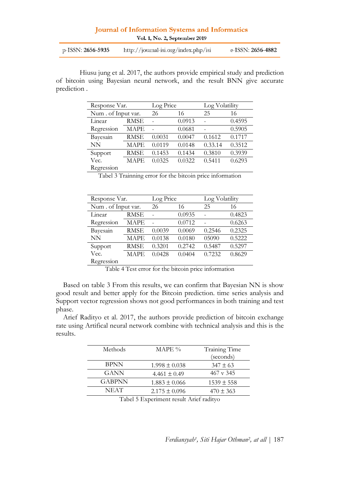| Journal of Information Systems and Informatics |                               |  |
|------------------------------------------------|-------------------------------|--|
|                                                | Vol. 1, No. 2, September 2019 |  |

| p-ISSN: <b>2656-5935</b> | http://journal-isi.org/index.php/isi | e-ISSN: <b>2656-4882</b> |
|--------------------------|--------------------------------------|--------------------------|
|--------------------------|--------------------------------------|--------------------------|

Hiusu jung et al. 2017, the authors provide empirical study and prediction of bitcoin using Bayesian neural network, and the result BNN give accurate prediction .

| Response Var.      |             | Log Price |        | Log Volatility |        |
|--------------------|-------------|-----------|--------|----------------|--------|
| Num. of Input var. |             | 26        | 16     | 25             | 16     |
| Linear             | <b>RMSE</b> |           | 0.0913 |                | 0.4595 |
| Regression         | <b>MAPE</b> |           | 0.0681 |                | 0.5905 |
| Bayesain           | <b>RMSE</b> | 0.0031    | 0.0047 | 0.1612         | 0.1717 |
| NN                 | MAPE        | 0.0119    | 0.0148 | 0.33.14        | 0.3512 |
| Support            | <b>RMSE</b> | 0.1453    | 0.1434 | 0.3810         | 0.3939 |
| Vec.               | MAPE        | 0.0325    | 0.0322 | 0.5411         | 0.6293 |
| Regression         |             |           |        |                |        |

Tabel 3 Trainning error for the bitcoin price information

| Response Var.       |             | Log Price |        | Log Volatility |        |
|---------------------|-------------|-----------|--------|----------------|--------|
| Num . of Input var. |             | 26        | 16     | 25             | 16     |
| Linear              | <b>RMSE</b> |           | 0.0935 |                | 0.4823 |
| Regression          | <b>MAPE</b> |           | 0.0712 |                | 0.6263 |
| Bayesain            | <b>RMSE</b> | 0.0039    | 0.0069 | 0.2546         | 0.2325 |
| NN                  | <b>MAPE</b> | 0.0138    | 0.0180 | 05090          | 0.5222 |
| Support             | <b>RMSE</b> | 0.3201    | 0.2742 | 0.5487         | 0.5297 |
| Vec.                | <b>MAPE</b> | 0.0428    | 0.0404 | 0.7232         | 0.8629 |
| Regression          |             |           |        |                |        |

Table 4 Test error for the bitcoin price information

Based on table 3 From this results, we can confirm that Bayesian NN is show good result and better apply for the Bitcoin prediction. time series analysis and Support vector regression shows not good performances in both training and test phase.

Arief Radityo et al. 2017, the authors provide prediction of bitcoin exchange rate using Artifical neural network combine with technical analysis and this is the results.

| Methods                                 | MAPE $\%$         | Training Time        |  |
|-----------------------------------------|-------------------|----------------------|--|
|                                         |                   | (seconds)            |  |
| BPNN                                    | $1.998 \pm 0.038$ | $347 \pm 63$         |  |
| GANN                                    | $4.461 \pm 0.49$  | $467 \text{ v } 345$ |  |
| GABPNN                                  | $1.883 \pm 0.066$ | $1539 \pm 558$       |  |
| <b>NEAT</b>                             | $2.175 \pm 0.096$ | $470 \pm 363$        |  |
| Tabel 5 Experiment result Arief radityo |                   |                      |  |

Tabel 5 Experiment result Arief radityo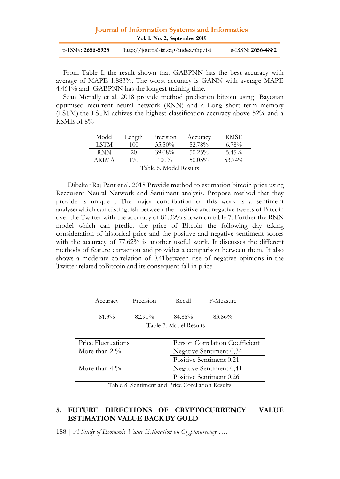| Journal of Information Systems and Informatics |  |  |
|------------------------------------------------|--|--|
| Vol. 1, No. 2, September 2019                  |  |  |

| p-ISSN: <b>2656-5935</b> | http://journal-isi.org/index.php/isi | e-ISSN: <b>2656-4882</b> |
|--------------------------|--------------------------------------|--------------------------|
|                          |                                      |                          |

From Table I, the result shown that GABPNN has the best accuracy with average of MAPE 1.883%. The worst accuracy is GANN with average MAPE 4.461% and GABPNN has the longest training time.

Sean Mcnally et al. 2018 provide method prediction bitcoin using Bayesian optimised recurrent neural network (RNN) and a Long short term memory (LSTM).the LSTM achives the highest classification accuracy above 52% and a RSME of 8%

| Model                  | Length | Precision | Accuracv  | RMSE.    |
|------------------------|--------|-----------|-----------|----------|
| LSTM                   | 100.   | $35.50\%$ | 52.78%    | $6.78\%$ |
| RNN                    | 20     | 39.08%    | $50.25\%$ | $5.45\%$ |
| ARIMA.                 | 170    | $100\%$   | $50.05\%$ | 53.74%   |
| Table 6. Model Results |        |           |           |          |

Dibakar Raj Pant et al. 2018 Provide method to estimation bitcoin price using Reccurent Neural Network and Sentiment analysis. Propose method that they provide is unique , The major contribution of this work is a sentiment analyserwhich can distinguish between the positive and negative tweets of Bitcoin over the Twitter with the accuracy of 81.39% shown on table 7. Further the RNN model which can predict the price of Bitcoin the following day taking consideration of historical price and the positive and negative sentiment scores with the accuracy of 77.62% is another useful work. It discusses the different methods of feature extraction and provides a comparison between them. It also shows a moderate correlation of 0.41between rise of negative opinions in the Twitter related toBitcoin and its consequent fall in price.

| Accuracy                | Precision               | Recall                                        | F-Measure                      |
|-------------------------|-------------------------|-----------------------------------------------|--------------------------------|
| 81.3%                   | 82.90%                  | 84.86%                                        | 83.86%                         |
|                         |                         | Table 7. Model Results                        |                                |
| Price Fluctuations      |                         |                                               | Person Correlation Coefficient |
| More than $2\%$         | Negative Sentiment 0,34 |                                               |                                |
| Positive Sentiment 0.21 |                         |                                               |                                |
| More than $4\%$         | Negative Sentiment 0,41 |                                               |                                |
|                         |                         | $\pi$ it or $\beta$ and $\alpha$ it is not in | Positive Sentiment 0.26        |

Table 8. Sentiment and Price Corellation Results

### **5. FUTURE DIRECTIONS OF CRYPTOCURRENCY VALUE ESTIMATION VALUE BACK BY GOLD**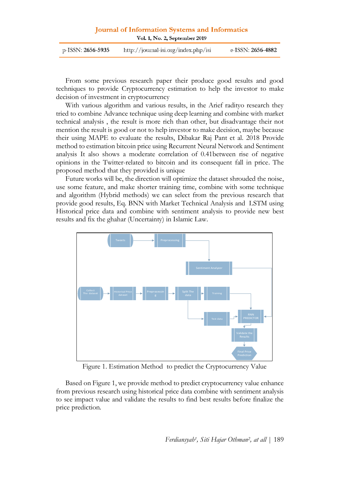| p-ISSN: <b>2656-5935</b> | http://journal-isi.org/index.php/isi | e-ISSN: <b>2656-4882</b> |
|--------------------------|--------------------------------------|--------------------------|
|                          |                                      |                          |

From some previous research paper their produce good results and good techniques to provide Cryptocurrency estimation to help the investor to make decision of investment in cryptocurrency

With various algorithm and various results, in the Arief radityo research they tried to combine Advance technique using deep learning and combine with market technical analysis , the result is more rich than other, but disadvantage their not mention the result is good or not to help investor to make decision, maybe because their using MAPE to evaluate the results, Dibakar Raj Pant et al. 2018 Provide method to estimation bitcoin price using Recurrent Neural Network and Sentiment analysis It also shows a moderate correlation of 0.41between rise of negative opinions in the Twitter-related to bitcoin and its consequent fall in price. The proposed method that they provided is unique

Future works will be, the direction will optimize the dataset shrouded the noise, use some feature, and make shorter training time, combine with some technique and algorithm (Hybrid methods) we can select from the previous research that provide good results, Eq. BNN with Market Technical Analysis and LSTM using Historical price data and combine with sentiment analysis to provide new best results and fix the ghahar (Uncertainty) in Islamic Law.



Figure 1. Estimation Method to predict the Cryptocurrency Value

Based on Figure 1, we provide method to predict cryptocurrency value enhance from previous research using historical price data combine with sentiment analysis to see impact value and validate the results to find best results before finalize the price prediction.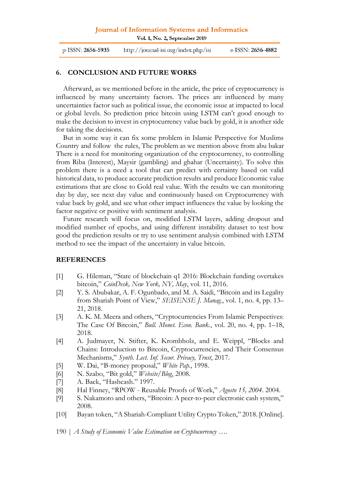## **Journal of Information Systems and Informatics**

Vol. 1, No. 2, September 2019

| p-ISSN: 2656-5935 | http://journal-isi.org/index.php/isi | e-ISSN: <b>2656-4882</b> |
|-------------------|--------------------------------------|--------------------------|
|-------------------|--------------------------------------|--------------------------|

### **6. CONCLUSION AND FUTURE WORKS**

Afterward, as we mentioned before in the article, the price of cryptocurrency is influenced by many uncertainty factors. The prices are influenced by many uncertainties factor such as political issue, the economic issue at impacted to local or global levels. So prediction price bitcoin using LSTM can't good enough to make the decision to invest in cryptocurrency value back by gold, it is another side for taking the decisions.

But in some way it can fix some problem in Islamic Perspective for Muslims Country and follow the rules, The problem as we mention above from abu bakar There is a need for monitoring organization of the cryptocurrency, to controlling from Riba (Interest), Maysir (gambling) and ghahar (Uncertainty). To solve this problem there is a need a tool that can predict with certainty based on valid historical data, to produce accurate prediction results and produce Economic value estimations that are close to Gold real value. With the results we can monitoring day by day, see next day value and continuously based on Cryptocurrency with value back by gold, and see what other impact influences the value by looking the factor negative or positive with sentiment analysis.

Future research will focus on, modified LSTM layers, adding dropout and modified number of epochs, and using different instability dataset to test how good the prediction results or try to use sentiment analysis combined with LSTM method to see the impact of the uncertainty in value bitcoin.

#### **REFERENCES**

- [1] G. Hileman, "State of blockchain q1 2016: Blockchain funding overtakes bitcoin," *CoinDesk, New York, NY, May*, vol. 11, 2016.
- [2] Y. S. Abubakar, A. F. Ogunbado, and M. A. Saidi, "Bitcoin and its Legality from Shariah Point of View," *SEISENSE J. Manag.*, vol. 1, no. 4, pp. 13– 21, 2018.
- [3] A. K. M. Meera and others, "Cryptocurrencies From Islamic Perspectives: The Case Of Bitcoin," *Bull. Monet. Econ. Bank.*, vol. 20, no. 4, pp. 1–18, 2018.
- [4] A. Judmayer, N. Stifter, K. Krombholz, and E. Weippl, "Blocks and Chains: Introduction to Bitcoin, Cryptocurrencies, and Their Consensus Mechanisms," *Synth. Lect. Inf. Secur. Privacy, Trust*, 2017.
- [5] W. Dai, "B-money proposal," *White Pap.*, 1998.
- [6] N. Szabo, "Bit gold," *Website/Blog*, 2008.
- [7] A. Back, "Hashcash." 1997.
- [8] Hal Finney, "RPOW Reusable Proofs of Work," *Agosto 15, 2004*. 2004.
- [9] S. Nakamoto and others, "Bitcoin: A peer-to-peer electronic cash system," 2008.
- [10] Bayan token, "A Shariah-Compliant Utility Crypto Token," 2018. [Online].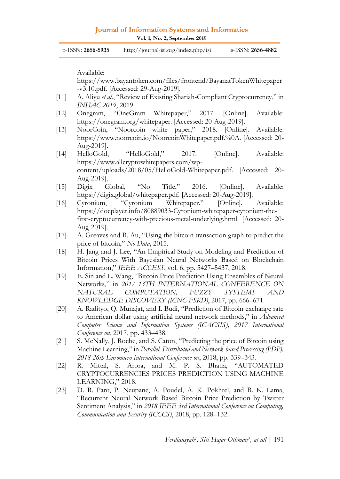| p-ISSN: 2656-5935 | http://journal-isi.org/index.php/isi | e-ISSN: <b>2656-4882</b> |
|-------------------|--------------------------------------|--------------------------|
|-------------------|--------------------------------------|--------------------------|

Available:

https://www.bayantoken.com/files/frontend/BayanatTokenWhitepaper -v3.10.pdf. [Accessed: 29-Aug-2019].

- [11] A. Aliyu *et al.*, "Review of Existing Shariah-Compliant Cryptocurrency," in *INHAC 2019*, 2019.
- [12] Onegram, "OneGram Whitepaper," 2017. [Online]. Available: https://onegram.org/whitepaper. [Accessed: 20-Aug-2019].
- [13] NoorCoin, "Noorcoin white paper," 2018. [Online]. Available: https://www.noorcoin.io/NoorcoinWhitepaper.pdf.%0A. [Accessed: 20- Aug-2019].
- [14] HelloGold, "HelloGold," 2017. [Online]. Available: https://www.allcryptowhitepapers.com/wpcontent/uploads/2018/05/HelloGold-Whitepaper.pdf. [Accessed: 20- Aug-2019].
- [15] Digix Global, "No Title," 2016. [Online]. Available: https://digix.global/whitepaper.pdf. [Accessed: 20-Aug-2019].
- [16] Cyronium, "Cyronium Whitepaper." [Online]. Available: https://docplayer.info/80889033-Cyronium-whitepaper-cyronium-thefirst-cryptocurrency-with-precious-metal-underlying.html. [Accessed: 20- Aug-2019].
- [17] A. Greaves and B. Au, "Using the bitcoin transaction graph to predict the price of bitcoin," *No Data*, 2015.
- [18] H. Jang and J. Lee, "An Empirical Study on Modeling and Prediction of Bitcoin Prices With Bayesian Neural Networks Based on Blockchain Information," *IEEE ACCESS*, vol. 6, pp. 5427–5437, 2018.
- [19] E. Sin and L. Wang, "Bitcoin Price Prediction Using Ensembles of Neural Networks," in *2017 13TH INTERNATIONAL CONFERENCE ON NATURAL COMPUTATION, FUZZY SYSTEMS AND KNOWLEDGE DISCOVERY (ICNC-FSKD)*, 2017, pp. 666–671.
- [20] A. Radityo, Q. Munajat, and I. Budi, "Prediction of Bitcoin exchange rate to American dollar using artificial neural network methods," in *Advanced Computer Science and Information Systems (ICACSIS), 2017 International Conference on*, 2017, pp. 433–438.
- [21] S. McNally, J. Roche, and S. Caton, "Predicting the price of Bitcoin using Machine Learning," in *Parallel, Distributed and Network-based Processing (PDP), 2018 26th Euromicro International Conference on*, 2018, pp. 339–343.
- [22] R. Mittal, S. Arora, and M. P. S. Bhatia, "AUTOMATED CRYPTOCURRENCIES PRICES PREDICTION USING MACHINE LEARNING," 2018.
- [23] D. R. Pant, P. Neupane, A. Poudel, A. K. Pokhrel, and B. K. Lama, "Recurrent Neural Network Based Bitcoin Price Prediction by Twitter Sentiment Analysis," in *2018 IEEE 3rd International Conference on Computing, Communication and Security (ICCCS)*, 2018, pp. 128–132.